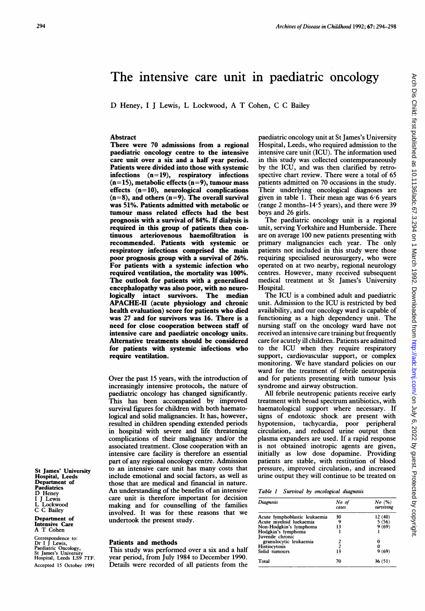# The intensive care unit in paediatric oncology

D Heney, <sup>I</sup> <sup>J</sup> Lewis, L Lockwood, A T Cohen, C C Bailey

# Abstract

There were 70 admissions from a regional paediatric oncology centre to the intensive care unit over a six and a half year period. Patients were divided into those with systemic infections (n= 19), respiratory infections  $(n= 15)$ , metabolic effects  $(n= 9)$ , tumour mass effects  $(n=10)$ , neurological complications  $(n=8)$ , and others  $(n=9)$ . The overall survival was 51%. Patients admitted with metabolic or tumour mass related effects had the best prognosis with a survival of 84%. If dialysis is required in this group of patients then continuous arteriovenous haemofiltration is recommended. Patients with systemic or respiratory infections comprised the main poor prognosis group with a survival of 26%. For patients with a systemic infection who required ventilation, the mortality was 100%. The outlook for patients with a generalised encephalopathy was also poor, with no neurologically intact survivors. The median APACHE-II (acute physiology and chronic health evaluation) score for patients who died was 27 and for survivors was 16. There is a need for close cooperation between staff of intensive care and paediatric oncology units. Alternative treatments should be considered for patients with systemic infections who require ventilation.

Over the past 15 years, with the introduction of increasingly intensive protocols, the nature of paediatric oncology has changed significantly. This has been accompanied by improved survival figures for children with both haematological and solid malignancies. It has, however, resulted in children spending extended periods in hospital with severe and life threatening complications of their malignancy and/or the associated treatment. Close cooperation with an intensive care facility is therefore an essential part of any regional oncology centre. Admission to an intensive care unit has many costs that include emotional and social factors, as well as those that are medical and financial in nature. An understanding of the benefits of an intensive care unit is therefore important for decision making and for counselling of the families involved. It was for these reasons that we undertook the present study.

Patients and methods

This study was performed over a six and a half year period, from July 1984 to December 1990. Details were recorded of all patients from the paediatric oncology unit at St James's University Hospital, Leeds, who required admission to the intensive care unit (ICU). The information used in this study was collected contemporaneously by the ICU, and was then clarified by retrospective chart review. There were a total of 65 patients admitted on 70 occasions in the study. Their underlying oncological diagnoses are given in table 1. Their mean age was 6-6 years (range 2 months-14-5 years), and there were 39 boys and 26 girls.

The paediatric oncology unit is a regional unit, serving Yorkshire and Humberside. There are on average 100 new patients presenting with primary malignancies each year. The only patients not included in this study were those requiring specialised neurosurgery, who were operated on at two nearby, regional neurology centres. However, many received subsequent medical treatment at St James's University Hospital.

The ICU is <sup>a</sup> combined adult and paediatric unit. Admission to the ICU is restricted by bed availability, and our oncology ward is capable of functioning as a high dependency unit. The nursing staff on the oncology ward have not received an intensive care training but frequently care for acutely ill children. Patients are admitted to the ICU when they require respiratory support, cardiovascular support, or complex monitoring. We have standard policies on our ward for the treatment of febrile neutropenia and for patients presenting with tumour lysis syndrome and airway obstruction.

All febrile neutropenic patients receive early treatment with broad spectrum antibiotics, with haematological support where necessary. If signs of endotoxic shock are present with hypotension, tachycardia, poor peripheral circulation, and reduced urine output then plasma expanders are used. If a rapid response is not obtained inotropic agents are given, initially as low dose dopamine. Providing patients are stable, with restitution of blood pressure, improved circulation, and increased urine output they will continue to be treated on

|  |  |  | Table 1 Survival by oncological diagnosis |  |
|--|--|--|-------------------------------------------|--|
|--|--|--|-------------------------------------------|--|

| Diagnosis                     | No of<br>cases | No~(%)<br>surviving |
|-------------------------------|----------------|---------------------|
| Acute lymphoblastic leukaemia | 30             | 12(40)              |
| Acute myeloid luekaemia       | 9              | 5(56)               |
| Non-Hodgkin's lymphoma        | 13             | 9(69)               |
| Hodgkin's lymphoma            |                |                     |
| Iuvenile chronic              |                |                     |
| granulocytic leukaemia        |                |                     |
| <b>Histiocytosis</b>          | $\overline{2}$ | 0                   |
| Solid tumours                 | 13             | 9(69)               |
| Total                         | 70             | 36(51)              |

St James' University Hospital, Leeds Department of Paediatrics D Heney <sup>I</sup> J Lewis L Lockwood C C Bailey

Department of Intensive Care A T Cohen

Correspondence to: Dr <sup>I</sup> <sup>J</sup> Lewis, Paediatric Oncology, St James's University Hospital, Leeds LS9 7TF. Accepted 15 October 1991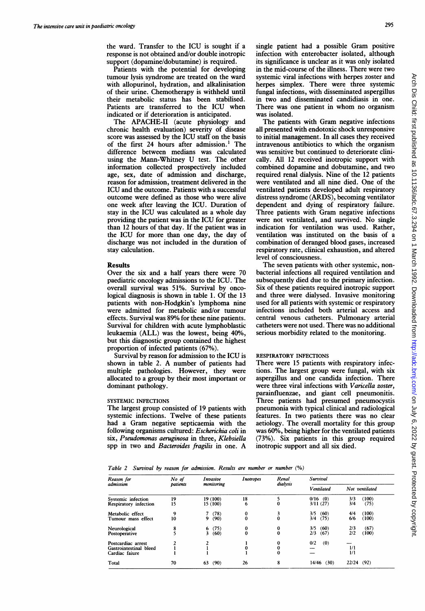the ward. Transfer to the ICU is sought if a response is not obtained and/or double inotropic support (dopamine/dobutamine) is required.

Patients with the potential for developing tumour lysis syndrome are treated on the ward with allopurinol, hydration, and alkalinisation of their urine. Chemotherapy is withheld until their metabolic status has been stabilised. Patients are transferred to the ICU when indicated or if deterioration is anticipated.

The APACHE-II (acute physiology and chronic health evaluation) severity of disease score was assessed by the ICU staff on the basis of the first 24 hours after admission.<sup>1</sup> The difference between medians was calculated using the Mann-Whitney U test. The other information collected prospectively included age, sex, date of admission and discharge, reason for admission, treatment delivered in the ICU and the outcome. Patients with a successful outcome were defined as those who were alive one week after leaving the ICU. Duration of stay in the ICU was calculated as a whole day providing the patient was in the ICU for greater than 12 hours of that day. If the patient was in the ICU for more than one day, the day of discharge was not included in the duration of stay calculation.

#### Results

Over the six and a half years there were 70 paediatric oncology admissions to the ICU. The overall survival was 51%. Survival by oncological diagnosis is shown in table 1. Of the 13 patients with non-Hodgkin's lymphoma nine were admitted for metabolic and/or tumour effects. Survival was 89% for these nine patients. Survival for children with acute lymphoblastic leukaemia (ALL) was the lowest, being 40%, but this diagnostic group contained the highest proportion of infected patients (67%).

Survival by reason for admission to the ICU is shown in table 2. A number of patients had multiple pathologies. However, they were allocated to a group by their most important or dominant pathology.

## SYSTEMIC INFECTIONS

The largest group consisted of 19 patients with systemic infections. Twelve of these patients had a Gram negative septicaemia with the following organisms cultured: Escherichia coli in six, Pseudomonas aeruginosa in three, Klebsiella spp in two and Bacteroides fragilis in one. A

single patient had <sup>a</sup> possible Gram positive infection with enterobacter isolated, although its significance is unclear as it was only isolated in the mid-course of the illness. There were two systemic viral infections with herpes zoster and herpes simplex. There were three systemic fungal infections, with disseminated aspergillus in two and disseminated candidiasis in one. There was one patient in whom no organism was isolated.

The patients with Gram negative infections all presented with endotoxic shock unresponsive to initial management. In all cases they received intravenous antibiotics to which the organism was sensitive but continued to deteriorate clinically. All 12 received inotropic support with combined dopamine and dobutamine, and two required renal dialysis. Nine of the 12 patients were ventilated and all nine died. One of the ventilated patients developed adult respiratory distress syndrome (ARDS), becoming ventilator dependent and dying of respiratory failure. Three patients with Gram negative infections were not ventilated, and survived. No single indication for ventilation was used. Rather, ventilation was instituted on the basis of a combination of deranged blood gases, increased respiratory rate, clinical exhaustion, and altered level of consciousness.

The seven patients with other systemic, nonbacterial infections all required ventilation and subsequently died due to the primary infection. Six of these patients required inotropic support and three were dialysed. Invasive monitoring used for all patients with systemic or respiratory infections included both arterial access and central venous catheters. Pulmonary arterial catheters were not used. There was no additional serious morbidity related to the monitoring.

## RESPIRATORY INFECTIONS

There were 15 patients with respiratory infections. The largest group were fungal, with six aspergillus and one candida infection. There were three viral infections with Varicella zoster, parainfluenzae, and giant cell pneumonitis. Three patients had presumed pneumocystis pneumonia with typical clinical and radiological features. In two patients there was no clear aetiology. The overall mortality for this group was 60%, being higher for the ventilated patients (73%). Six patients in this group required inotropic support and all six died.

Table 2 Survival by reason for admission. Results are number or number (%)

| Reason for             | No of    | Invasive   | Inotropes | Renal    | Survival          |                |
|------------------------|----------|------------|-----------|----------|-------------------|----------------|
| admission              | patients | monitoring |           | dialysis | <b>Ventilated</b> | Not ventilated |
| Systemic infection     | 19       | 19 (100)   | 18        |          | $0/16$ (0)        | 3/3<br>(100)   |
| Respiratory infection  | 15       | 15 (100)   | 6         | 0        | 3/11(27)          | 3/4<br>(75)    |
| Metabolic effect       | 9        | (78)       | 0         |          | 3/5<br>(60)       | (100)<br>4/4   |
| Tumour mass effect     | 10       | 9<br>(90)  | $\bf{0}$  | 0        | 3/4<br>(75)       | 6/6<br>(100)   |
| Neurological           | 8        | (75)<br>6  | 0         | 0        | 3/5<br>(60)       | 2/3<br>(67)    |
| Postoperative          |          | (60)<br>3  | $\bf{0}$  | 0        | 2/3<br>(67)       | 2/2<br>(100)   |
| Postcardiac arrest     |          |            |           | 0        | 0/2<br>(0)        |                |
| Gastrointestinal bleed |          |            |           |          |                   | 1/1            |
| Cardiac faiure         |          |            |           | $\bf{0}$ |                   | 1/1            |
| Total                  | 70       | 63<br>(90) | 26        | 8        | (30)<br>14/46     | 22/24 (92)     |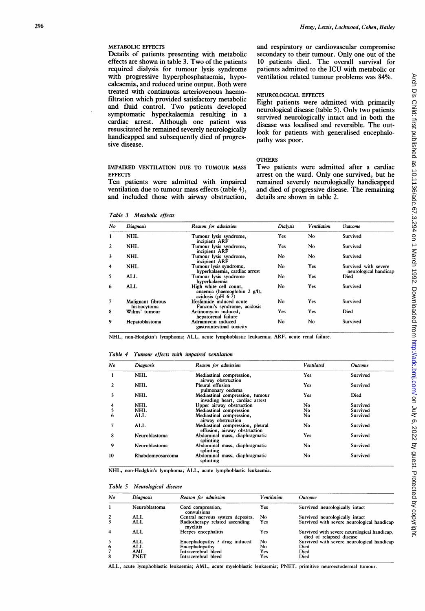## METABOLIC EFFECTS

Details of patients presenting with metabolic effects are shown in table 3. Two of the patients required dialysis for tumour lysis syndrome with progressive hyperphosphataemia, hypocalcaemia, and reduced urine output. Both were treated with continuous arteriovenous haemofiltration which provided satisfactory metabolic and fluid control. Two patients developed symptomatic hyperkalaemia resulting in a cardiac arrest. Although one patient was resuscitated he remained severely neurologically handicapped and subsequently died of progressive disease.

IMPAIRED VENTILATION DUE TO TUMOUR MASS **EFFECTS** 

Ten patients were admitted with impaired ventilation due to tumour mass effects (table 4), and included those with airway obstruction,

Table 3 Metabolic effects

and respiratory or cardiovascular compromise secondary to their tumour. Only one out of the 10 patients died. The overall survival for patients admitted to the ICU with metabolic or ventilation related tumour problems was 84%.

#### NEUROLOGICAL EFFECTS

Eight patients were admitted with primarily neurological disease (table 5). Only two patients survived neurologically intact and in both the disease was localised and reversible. The outlook for patients with generalised encephalopathy was poor.

## **OTHERS**

Two patients were admitted after a cardiac arrest on the ward. Only one survived, but he remained severely neurologically handicapped and died of progressive disease. The remaining details are shown in table 2.

| No             | Diagnosis                         | Reason for admission                                                           | Dialysis   | <b>Ventilation</b> | <b>Outcome</b>                                |
|----------------|-----------------------------------|--------------------------------------------------------------------------------|------------|--------------------|-----------------------------------------------|
|                | <b>NHL</b>                        | Tumour lysis syndrome,<br>incipient ARF                                        | <b>Yes</b> | No                 | Survived                                      |
| $\overline{2}$ | <b>NHL</b>                        | Tumour lysis syndrome,<br>incipient ARF                                        | Yes        | No                 | Survived                                      |
| 3              | <b>NHL</b>                        | Tumour lysis syndrome,<br>incipient ARF                                        | No         | No                 | Survived                                      |
| 4              | <b>NHL</b>                        | Tumour lysis syndrome,<br>hyperkalaemia, cardiac arrest                        | No         | <b>Yes</b>         | Survived with severe<br>neurological handicap |
| 5              | ALL                               | Tumour lysis syndrome<br>hyperkalaemia                                         | No         | Yes:               | Died                                          |
| 6              | <b>ALL</b>                        | High white cell count,<br>anaemia (haemoglobin 2 g/l),<br>acidosis (pH $6.7$ ) | No         | <b>Yes</b>         | Survived                                      |
| 7              | Malignant fibrous<br>histiocytoma | Ifosfamide induced acute<br>Fanconi's syndrome, acidosis                       | No         | <b>Yes</b>         | Survived                                      |
| 8              | Wilms' tumour                     | Actinomycin induced,<br>hepatorenal failure                                    | Yes        | <b>Yes</b>         | Died                                          |
| 9              | Hepatoblastoma                    | Adriamycin induced<br>gastrointestinal toxicity                                | No         | No                 | Survived                                      |

NHL, non-Hodgkin's lymphoma; ALL, acute lymphoblastic leukaemia; ARF, acute renal failure.

Table 4 Tumour effects with impaired ventilation

| No             | Diagnosis        | Reason for admission                                              | <b>Ventilated</b> | <b>Outcome</b> |
|----------------|------------------|-------------------------------------------------------------------|-------------------|----------------|
|                | <b>NHL</b>       | Mediastinal compression,<br>airway obstruction                    | Yes               | Survived       |
| $\overline{2}$ | NHL              | Pleural effusion<br>pulmonary oedema                              | Yes               | Survived       |
| 3              | NHL              | Mediastinal compression, tumour<br>invading heart, cardiac arrest | Yes               | Died           |
| 4              | <b>NHL</b>       | Upper airway obstruction                                          | No                | Survived       |
| 5              | <b>NHL</b>       | Mediastinal compression                                           | No                | Survived       |
| 6              | <b>ALL</b>       | Mediastinal compression,<br>airway obstruction                    | No                | Survived       |
| 7              | <b>ALL</b>       | Mediastinal compression, pleural<br>effusion, airway obstruction  | No                | Survived       |
| 8              | Neuroblastoma    | Abdominal mass, diaphragmatic<br>splinting                        | Yes               | Survived       |
| 9              | Neuroblastoma    | Abdominal mass, diaphragmatic<br>splinting                        | No                | Survived       |
| 10             | Rhabdomyosarcoma | Abdominal mass, diaphragmatic<br>splinting                        | No                | Survived       |

NHL, non-Hodgkin's lymphoma; ALL, acute lymphoblastic leukaemia.

| Table 5 |  | Neurological disease |  |
|---------|--|----------------------|--|
|---------|--|----------------------|--|

| No             | <b>Diagnosis</b> | Reason for admission                       | Ventilation | <b>Outcome</b>                                                          |
|----------------|------------------|--------------------------------------------|-------------|-------------------------------------------------------------------------|
|                | Neuroblastoma    | Cord compression,<br>convulsions           | Yes         | Survived neurologically intact                                          |
| $\overline{2}$ | ALL.             | Central nervous system deposits,           | No          | Survived neurologically intact                                          |
| 3              | ALL.             | Radiotherapy related ascending<br>myelitis | Yes         | Survived with severe neurological handicap                              |
| 4              | ALL.             | Herpes encephalitis                        | Yes         | Survived with severe neurological handicap,<br>died of relapsed disease |
| 5              | ALL              | Encephalopathy ? drug induced              | No          | Survived with severe neurological handicap                              |
| 6              | ALL              | Encephalopathy                             | No          | Died                                                                    |
| 7              | AML              | Intracerebral bleed                        | Yes         | Died                                                                    |
| 8              | <b>PNET</b>      | Intracerebral bleed                        | Yes         | Died                                                                    |

ALL, acute lymphoblastic leukaemia; AML, acute myeloblastic leukaemia; PNET, primitive neuroectodermal tumour.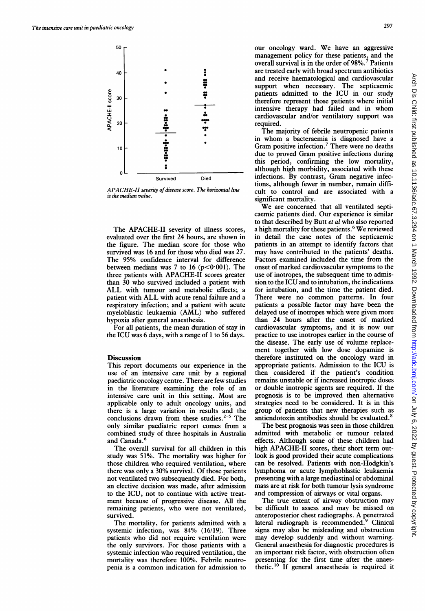

APACHE-II severity of disease score. The horizontal line is the median value.

The APACHE-II severity of illness scores, evaluated over the first 24 hours, are shown in the figure. The median score for those who survived was 16 and for those who died was 27. The 95% confidence interval for difference between medians was 7 to 16 ( $p < 0.001$ ). The three patients with APACHE-II scores greater than 30 who survived included a patient with ALL with tumour and metabolic effects; <sup>a</sup> patient with ALL with acute renal failure and <sup>a</sup> respiratory infection; and a patient with acute myeloblastic leukaemia (AML) who suffered hypoxia after general anaesthesia.

For all patients, the mean duration of stay in the ICU was 6 days, with a range of <sup>1</sup> to 56 days.

## **Discussion**

This report documents our experience in the use of an intensive care unit by a regional paediatric oncology centre. There are few studies in the literature examining the role of an intensive care unit in this setting. Most are applicable only to adult oncology units, and there is a large variation in results and the conclusions drawn from these studies. $2-5$  The only similar paediatric report comes from a combined study of three hospitals in Australia and Canada.<sup>6</sup>

The overall survival for all children in this study was 51%. The mortality was higher for those children who required ventilation, where there was only a 30% survival. Of those patients not ventilated two subsequently died. For both, an elective decision was made, after admission to the ICU, not to continue with active treatment because of progressive disease. All the remaining patients, who were not ventilated, survived.

The mortality, for patients admitted with a systemic infection, was 84% (16/19). Three patients who did not require ventilation were the only survivors. For those patients with a systemic infection who required ventilation, the mortality was therefore 100%. Febrile neutropenia is <sup>a</sup> common indication for admission to

our oncology ward. We have an aggressive management policy for these patients, and the overall survival is in the order of 98%.' Patients are treated early with broad spectrum antibiotics and receive haematological and cardiovascular support when necessary. The septicaemic patients admitted to the ICU in our study therefore represent those patients where initial intensive therapy had failed and in whom cardiovascular and/or ventilatory support was required.

The majority of febrile neutropenic patients in whom <sup>a</sup> bacteraemia is diagnosed have <sup>a</sup> Gram positive infection.7 There were no deaths due to proved Gram positive infections during this period, confirming the low mortality, although high morbidity, associated with these infections. By contrast, Gram negative infections, although fewer in number, remain difficult to control and are associated with a significant mortality.

We are concerned that all ventilated septicaemic patients died. Our experience is similar to that described by Butt et al who also reported a high mortality for these patients.<sup>6</sup> We reviewed in detail the case notes of the septicaemic patients in an attempt to identify factors that may have contributed to the patients' deaths. Factors examined included the time from the onset of marked cardiovascular symptoms to the use of inotropes, the subsequent time to admission to the ICU and to intubation, the indications for intubation, and the time the patient died. There were no common patterns. In four patients a possible factor may have been the delayed use of inotropes which were given more than 24 hours after the onset of marked cardiovascular symptoms, and it is now our practice to use inotropes earlier in the course of the disease. The early use of volume replacement together with low dose dopamine is therefore instituted on the oncology ward in appropriate patients. Admission to the ICU is then considered if the patient's condition remains unstable or if increased inotropic doses or double inotropic agents are required. If the prognosis is to be improved then alternative strategies need to be considered. It is in this group of patients that new therapies such as antiendotoxin antibodies should be evaluated.<sup>8</sup>

The best prognosis was seen in those children admitted with metabolic or tumour related effects. Although some of these children had high APACHE-II scores, their short term outlook is good provided their acute complications can be resolved. Patients with non-Hodgkin's lymphoma or acute lymphoblastic leukaemia presenting with a large mediastinal or abdominal mass are at risk for both tumour lysis syndrome and compression of airways or vital organs.

The true extent of airway obstruction may be difficult to assess and may be missed on anteroposterior chest radiographs. A penetrated lateral radiograph is recommended.<sup>9</sup> Clinical signs may also be misleading and obstruction may develop suddenly and without warning. General anaesthesia for diagnostic procedures is an important risk factor, with obstruction often presenting for the first time after the anaesthetic.'0 If general anaesthesia is required it